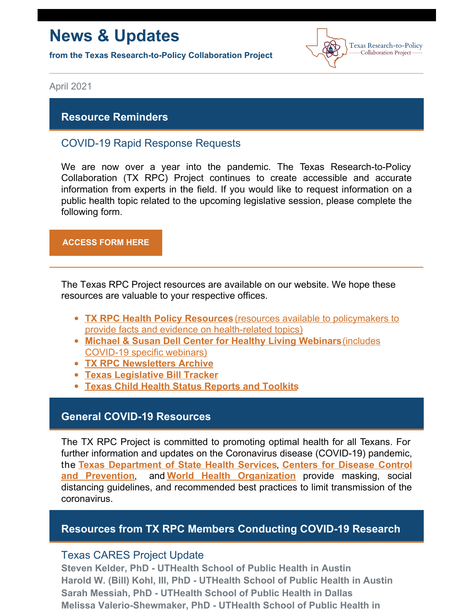# **News & Updates**

**from the Texas Research-to-Policy Collaboration Project**



April 2021

### **Resource Reminders**

## COVID-19 Rapid Response Requests

We are now over a year into the pandemic. The Texas Research-to-Policy Collaboration (TX RPC) Project continues to create accessible and accurate information from experts in the field. If you would like to request information on a public health topic related to the upcoming legislative session, please complete the following form.

#### **[ACCESS](https://docs.google.com/forms/u/2/d/1Wugxw_5Z2snWP5rEmX4N88dLKRnqrsAPYug_bCWMdCo/viewform?edit_requested=true) FORM HERE**

The Texas RPC Project resources are available on our website. We hope these resources are valuable to your respective offices.

- **TX RPC Health Policy [Resources](https://sph.uth.edu/research/centers/dell/legislative-initiatives/texas-rpc-resources)** (resources available to policymakers to provide facts and evidence on [health-related](https://sph.uth.edu/research/centers/dell/legislative-initiatives/texas-rpc-resources) topics)
- **Michael & Susan Dell Center for Healthy Living [Webinars](https://sph.uth.edu/research/centers/dell/webinars/)**(includes [COVID-19](https://sph.uth.edu/research/centers/dell/webinars/) specific webinars)
- **TX RPC [Newsletters](https://sph.uth.edu/research/centers/dell/legislative-initiatives/rpc-newsletters) Archive**
- **Texas [Legislative](https://sph.uth.edu/research/centers/dell/87th-texas-legislative-session/index.htm) Bill Tracker**
- **Texas Child Health Status [Reports](https://sph.uth.edu/research/centers/dell/texas-child-health-status-report/index.htm) and Toolkits**

### **General COVID-19 Resources**

The TX RPC Project is committed to promoting optimal health for all Texans. For further information and updates on the Coronavirus disease (COVID-19) pandemic, the **Texas [Department](https://dshs.texas.gov/coronavirus/) of State Health Services**, **Centers for Disease Control and Prevention**, and **World Health [Organization](https://www.cdc.gov/coronavirus/2019-ncov/index.html)** provide masking, social distancing guidelines, and recommended best practices to limit transmission of the coronavirus.

### **Resources from TX RPC Members Conducting COVID-19 Research**

### Texas CARES Project Update

**Steven Kelder, PhD - UTHealth School of Public Health in Austin Harold W. (Bill) Kohl, III, PhD - UTHealth School of Public Health in Austin Sarah Messiah, PhD - UTHealth School of Public Health in Dallas Melissa Valerio-Shewmaker, PhD - UTHealth School of Public Health in**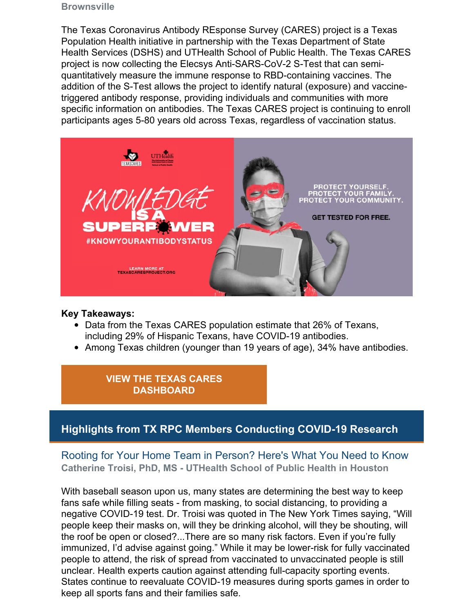#### **Brownsville**

The Texas Coronavirus Antibody REsponse Survey (CARES) project is a Texas Population Health initiative in partnership with the Texas Department of State Health Services (DSHS) and UTHealth School of Public Health. The Texas CARES project is now collecting the Elecsys Anti-SARS-CoV-2 S-Test that can semiquantitatively measure the immune response to RBD-containing vaccines. The addition of the S-Test allows the project to identify natural (exposure) and vaccinetriggered antibody response, providing individuals and communities with more specific information on antibodies. The Texas CARES project is continuing to enroll participants ages 5-80 years old across Texas, regardless of vaccination status.



#### **Key Takeaways:**

- Data from the Texas CARES population estimate that 26% of Texans, including 29% of Hispanic Texans, have COVID-19 antibodies.
- Among Texas children (younger than 19 years of age), 34% have antibodies.

## **VIEW THE TEXAS CARES [DASHBOARD](https://sph.uth.edu/projects/texascares/dashboard)**

# **Highlights from TX RPC Members Conducting COVID-19 Research**

Rooting for Your Home Team in Person? Here's What You Need to Know **Catherine Troisi, PhD, MS - UTHealth School of Public Health in Houston**

With baseball season upon us, many states are determining the best way to keep fans safe while filling seats - from masking, to social distancing, to providing a negative COVID-19 test. Dr. Troisi was quoted in The New York Times saying, "Will people keep their masks on, will they be drinking alcohol, will they be shouting, will the roof be open or closed?...There are so many risk factors. Even if you're fully immunized, I'd advise against going." While it may be lower-risk for fully vaccinated people to attend, the risk of spread from vaccinated to unvaccinated people is still unclear. Health experts caution against attending full-capacity sporting events. States continue to reevaluate COVID-19 measures during sports games in order to keep all sports fans and their families safe.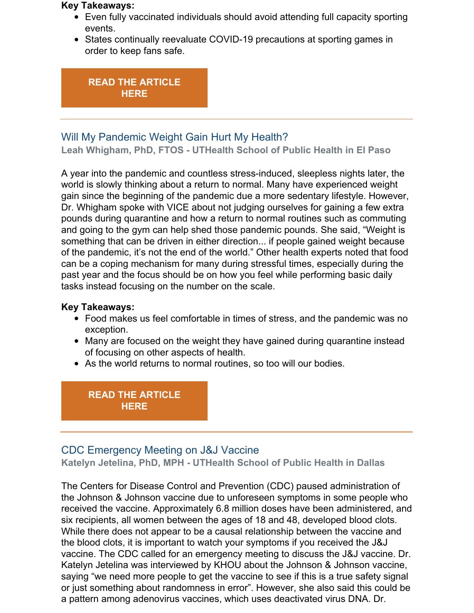#### **Key Takeaways:**

- Even fully vaccinated individuals should avoid attending full capacity sporting events.
- States continually reevaluate COVID-19 precautions at sporting games in order to keep fans safe.

#### **READ THE [ARTICLE](https://www.nytimes.com/2021/03/20/travel/spring-big-league-games-rules-covid.html) HERE**

## Will My Pandemic Weight Gain Hurt My Health?

**Leah Whigham, PhD, FTOS - UTHealth School of Public Health in El Paso**

A year into the pandemic and countless stress-induced, sleepless nights later, the world is slowly thinking about a return to normal. Many have experienced weight gain since the beginning of the pandemic due a more sedentary lifestyle. However, Dr. Whigham spoke with VICE about not judging ourselves for gaining a few extra pounds during quarantine and how a return to normal routines such as commuting and going to the gym can help shed those pandemic pounds. She said, "Weight is something that can be driven in either direction... if people gained weight because of the pandemic, it's not the end of the world." Other health experts noted that food can be a coping mechanism for many during stressful times, especially during the past year and the focus should be on how you feel while performing basic daily tasks instead focusing on the number on the scale.

#### **Key Takeaways:**

- Food makes us feel comfortable in times of stress, and the pandemic was no exception.
- Many are focused on the weight they have gained during quarantine instead of focusing on other aspects of health.
- As the world returns to normal routines, so too will our bodies.

### **READ THE [ARTICLE](https://www.vice.com/en/article/wx8vyz/will-my-covid-pandemic-weight-gain-hurt-my-health) HERE**

### CDC Emergency Meeting on J&J Vaccine **Katelyn Jetelina, PhD, MPH - UTHealth School of Public Health in Dallas**

The Centers for Disease Control and Prevention (CDC) paused administration of the Johnson & Johnson vaccine due to unforeseen symptoms in some people who received the vaccine. Approximately 6.8 million doses have been administered, and six recipients, all women between the ages of 18 and 48, developed blood clots. While there does not appear to be a causal relationship between the vaccine and the blood clots, it is important to watch your symptoms if you received the J&J vaccine. The CDC called for an emergency meeting to discuss the J&J vaccine. Dr. Katelyn Jetelina was interviewed by KHOU about the Johnson & Johnson vaccine, saying "we need more people to get the vaccine to see if this is a true safety signal or just something about randomness in error". However, she also said this could be a pattern among adenovirus vaccines, which uses deactivated virus DNA. Dr.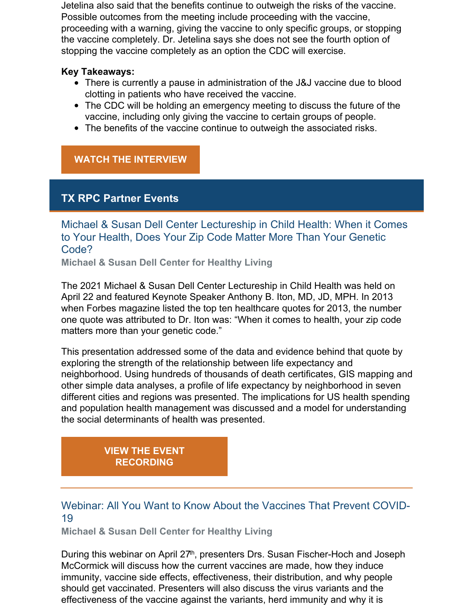Jetelina also said that the benefits continue to outweigh the risks of the vaccine. Possible outcomes from the meeting include proceeding with the vaccine, proceeding with a warning, giving the vaccine to only specific groups, or stopping the vaccine completely. Dr. Jetelina says she does not see the fourth option of stopping the vaccine completely as an option the CDC will exercise.

#### **Key Takeaways:**

- There is currently a pause in administration of the J&J vaccine due to blood clotting in patients who have received the vaccine.
- The CDC will be holding an emergency meeting to discuss the future of the vaccine, including only giving the vaccine to certain groups of people.
- The benefits of the vaccine continue to outweigh the associated risks.

# **WATCH THE [INTERVIEW](https://archive.tveyes.com/7313/meltwater/f77b4f3d-1447-4d58-b62e-f086d9521a27/KHOU_04-13-2021_22.05.30.mp4)**

# **TX RPC Partner Events**

Michael & Susan Dell Center Lectureship in Child Health: When it Comes to Your Health, Does Your Zip Code Matter More Than Your Genetic Code?

**Michael & Susan Dell Center for Healthy Living**

The 2021 Michael & Susan Dell Center Lectureship in Child Health was held on April 22 and featured Keynote Speaker Anthony B. Iton, MD, JD, MPH. In 2013 when Forbes magazine listed the top ten healthcare quotes for 2013, the number one quote was attributed to Dr. Iton was: "When it comes to health, your zip code matters more than your genetic code."

This presentation addressed some of the data and evidence behind that quote by exploring the strength of the relationship between life expectancy and neighborhood. Using hundreds of thousands of death certificates, GIS mapping and other simple data analyses, a profile of life expectancy by neighborhood in seven different cities and regions was presented. The implications for US health spending and population health management was discussed and a model for understanding the social determinants of health was presented.

# **VIEW THE EVENT [RECORDING](https://sph.uth.edu/research/centers/dell/lectureship-in-child-health/index.htm)**

# Webinar: All You Want to Know About the Vaccines That Prevent COVID-19

**Michael & Susan Dell Center for Healthy Living**

During this webinar on April 27<sup>th</sup>, presenters Drs. Susan Fischer-Hoch and Joseph McCormick will discuss how the current vaccines are made, how they induce immunity, vaccine side effects, effectiveness, their distribution, and why people should get vaccinated. Presenters will also discuss the virus variants and the effectiveness of the vaccine against the variants, herd immunity and why it is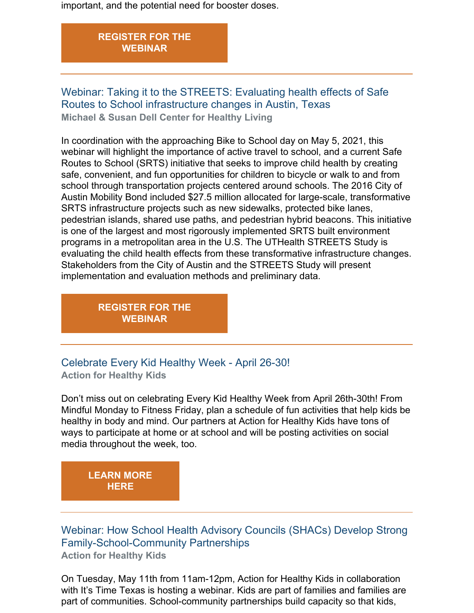important, and the potential need for booster doses.

## **[REGISTER](https://register.gotowebinar.com/register/1166864825391377935) FOR THE WEBINAR**

Webinar: Taking it to the STREETS: Evaluating health effects of Safe Routes to School infrastructure changes in Austin, Texas **Michael & Susan Dell Center for Healthy Living**

In coordination with the approaching Bike to School day on May 5, 2021, this webinar will highlight the importance of active travel to school, and a current Safe Routes to School (SRTS) initiative that seeks to improve child health by creating safe, convenient, and fun opportunities for children to bicycle or walk to and from school through transportation projects centered around schools. The 2016 City of Austin Mobility Bond included \$27.5 million allocated for large-scale, transformative SRTS infrastructure projects such as new sidewalks, protected bike lanes, pedestrian islands, shared use paths, and pedestrian hybrid beacons. This initiative is one of the largest and most rigorously implemented SRTS built environment programs in a metropolitan area in the U.S. The UTHealth STREETS Study is evaluating the child health effects from these transformative infrastructure changes. Stakeholders from the City of Austin and the STREETS Study will present implementation and evaluation methods and preliminary data.

> **[REGISTER](https://register.gotowebinar.com/register/5536857297308422667) FOR THE WEBINAR**

Celebrate Every Kid Healthy Week - April 26-30! **Action for Healthy Kids**

Don't miss out on celebrating Every Kid Healthy Week from April 26th-30th! From Mindful Monday to Fitness Friday, plan a schedule of fun activities that help kids be healthy in body and mind. Our partners at Action for Healthy Kids have tons of ways to participate at home or at school and will be posting activities on social media throughout the week, too.

**[LEARN](https://www.actionforhealthykids.org/get-involved/every-kid-healthy-week/) MORE HERE**

Webinar: How School Health Advisory Councils (SHACs) Develop Strong Family-School-Community Partnerships **Action for Healthy Kids**

On Tuesday, May 11th from 11am-12pm, Action for Healthy Kids in collaboration with It's Time Texas is hosting a webinar. Kids are part of families and families are part of communities. School-community partnerships build capacity so that kids,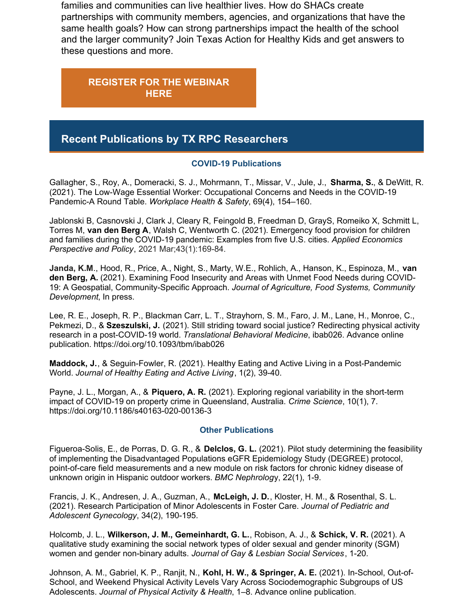families and communities can live healthier lives. How do SHACs create partnerships with community members, agencies, and organizations that have the same health goals? How can strong partnerships impact the health of the school and the larger community? Join Texas Action for Healthy Kids and get answers to these questions and more.

**[REGISTER](https://www.actionforhealthykids.org/event/how-to-develop-strong-family-school-community-partnerships/) FOR THE WEBINAR HERE**

# **Recent Publications by TX RPC Researchers**

#### **COVID-19 Publications**

Gallagher, S., Roy, A., Domeracki, S. J., Mohrmann, T., Missar, V., Jule, J., **Sharma, S.**, & DeWitt, R. (2021). The Low-Wage Essential Worker: Occupational Concerns and Needs in the COVID-19 Pandemic-A Round Table. *Workplace Health & Safety*, 69(4), 154–160.

Jablonski B, Casnovski J, Clark J, Cleary R, Feingold B, Freedman D, GrayS, Romeiko X, Schmitt L, Torres M, **van den Berg A**, Walsh C, Wentworth C. (2021). Emergency food provision for children and families during the COVID-19 pandemic: Examples from five U.S. cities. *Applied Economics Perspective and Policy*, 2021 Mar;43(1):169-84.

**Janda, K.M**., Hood, R., Price, A., Night, S., Marty, W.E., Rohlich, A., Hanson, K., Espinoza, M., **van den Berg, A.** (2021). Examining Food Insecurity and Areas with Unmet Food Needs during COVID-19: A Geospatial, Community-Specific Approach. *Journal of Agriculture, Food Systems, Community Development*, In press.

Lee, R. E., Joseph, R. P., Blackman Carr, L. T., Strayhorn, S. M., Faro, J. M., Lane, H., Monroe, C., Pekmezi, D., & **Szeszulski, J.** (2021). Still striding toward social justice? Redirecting physical activity research in a post-COVID-19 world. *Translational Behavioral Medicine*, ibab026. Advance online publication. https://doi.org/10.1093/tbm/ibab026

**Maddock, J.**, & Seguin-Fowler, R. (2021). Healthy Eating and Active Living in a Post-Pandemic World. *Journal of Healthy Eating and Active Living*, 1(2), 39-40.

Payne, J. L., Morgan, A., & **Piquero, A. R.** (2021). Exploring regional variability in the short-term impact of COVID-19 on property crime in Queensland, Australia. *Crime Science*, 10(1), 7. https://doi.org/10.1186/s40163-020-00136-3

#### **Other Publications**

Figueroa-Solis, E., de Porras, D. G. R., & **Delclos, G. L.** (2021). Pilot study determining the feasibility of implementing the Disadvantaged Populations eGFR Epidemiology Study (DEGREE) protocol, point-of-care field measurements and a new module on risk factors for chronic kidney disease of unknown origin in Hispanic outdoor workers. *BMC Nephrolog*y, 22(1), 1-9.

Francis, J. K., Andresen, J. A., Guzman, A., **McLeigh, J. D.**, Kloster, H. M., & Rosenthal, S. L. (2021). Research Participation of Minor Adolescents in Foster Care. *Journal of Pediatric and Adolescent Gynecology*, 34(2), 190-195.

Holcomb, J. L., **Wilkerson, J. M., Gemeinhardt, G. L.**, Robison, A. J., & **Schick, V. R.** (2021). A qualitative study examining the social network types of older sexual and gender minority (SGM) women and gender non-binary adults. *Journal of Gay & Lesbian Social Services*, 1-20.

Johnson, A. M., Gabriel, K. P., Ranjit, N., **Kohl, H. W., & Springer, A. E.** (2021). In-School, Out-of-School, and Weekend Physical Activity Levels Vary Across Sociodemographic Subgroups of US Adolescents. *Journal of Physical Activity & Health*, 1–8. Advance online publication.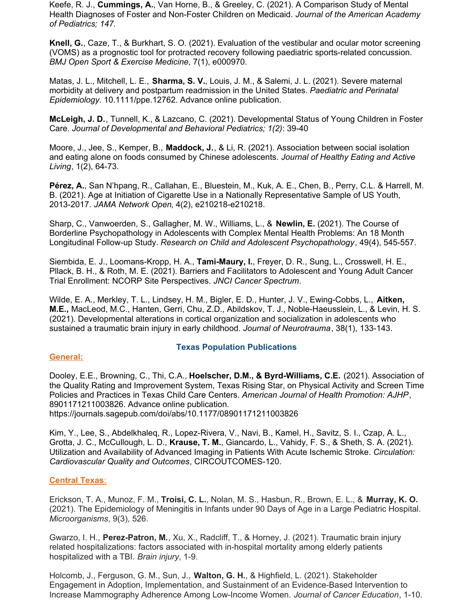Keefe, R. J., **Cummings, A.**, Van Horne, B., & Greeley, C. (2021). A Comparison Study of Mental Health Diagnoses of Foster and Non-Foster Children on Medicaid. *Journal of the American Academy of Pediatrics; 147.*

**Knell, G.**, Caze, T., & Burkhart, S. O. (2021). Evaluation of the vestibular and ocular motor screening (VOMS) as a prognostic tool for protracted recovery following paediatric sports-related concussion. *BMJ Open Sport & Exercise Medicine*, 7(1), e000970.

Matas, J. L., Mitchell, L. E., **Sharma, S. V.**, Louis, J. M., & Salemi, J. L. (2021). Severe maternal morbidity at delivery and postpartum readmission in the United States. *Paediatric and Perinatal Epidemiology*. 10.1111/ppe.12762. Advance online publication.

**McLeigh, J. D.**, Tunnell, K., & Lazcano, C. (2021). Developmental Status of Young Children in Foster Care. *Journal of Developmental and Behavioral Pediatrics; 1(2)*: 39-40

Moore, J., Jee, S., Kemper, B., **Maddock, J.**, & Li, R. (2021). Association between social isolation and eating alone on foods consumed by Chinese adolescents. *Journal of Healthy Eating and Active Living*, 1(2), 64-73.

**Pérez, A.**, San N'hpang, R., Callahan, E., Bluestein, M., Kuk, A. E., Chen, B., Perry, C.L. & Harrell, M. B. (2021). Age at Initiation of Cigarette Use in a Nationally Representative Sample of US Youth, 2013-2017. *JAMA Network Open*, 4(2), e210218-e210218.

Sharp, C., Vanwoerden, S., Gallagher, M. W., Williams, L., & **Newlin, E.** (2021). The Course of Borderline Psychopathology in Adolescents with Complex Mental Health Problems: An 18 Month Longitudinal Follow-up Study. *Research on Child and Adolescent Psychopathology*, 49(4), 545-557.

Siembida, E. J., Loomans-Kropp, H. A., **Tami-Maury, I.**, Freyer, D. R., Sung, L., Crosswell, H. E., Pllack, B. H., & Roth, M. E. (2021). Barriers and Facilitators to Adolescent and Young Adult Cancer Trial Enrollment: NCORP Site Perspectives. *JNCI Cancer Spectrum*.

Wilde, E. A., Merkley, T. L., Lindsey, H. M., Bigler, E. D., Hunter, J. V., Ewing-Cobbs, L., **Aitken, M.E.,** MacLeod, M.C., Hanten, Gerri, Chu, Z.D., Abildskov, T. J., Noble-Haeusslein, L., & Levin, H. S. (2021). Developmental alterations in cortical organization and socialization in adolescents who sustained a traumatic brain injury in early childhood. *Journal of Neurotrauma*, 38(1), 133-143.

#### **General:**

#### **Texas Population Publications**

Dooley, E.E., Browning, C., Thi, C.A., **Hoelscher, D.M., & Byrd-Williams, C.E.** (2021). Association of the Quality Rating and Improvement System, Texas Rising Star, on Physical Activity and Screen Time Policies and Practices in Texas Child Care Centers. *American Journal of Health Promotion: AJHP*, 8901171211003826. Advance online publication. https://journals.sagepub.com/doi/abs/10.1177/08901171211003826

Kim, Y., Lee, S., Abdelkhaleq, R., Lopez-Rivera, V., Navi, B., Kamel, H., Savitz, S. I., Czap, A. L., Grotta, J. C., McCullough, L. D., **Krause, T. M.**, Giancardo, L., Vahidy, F. S., & Sheth, S. A. (2021). Utilization and Availability of Advanced Imaging in Patients With Acute Ischemic Stroke. *Circulation: Cardiovascular Quality and Outcomes*, CIRCOUTCOMES-120.

#### **Central Texas**:

Erickson, T. A., Munoz, F. M., **Troisi, C. L.**, Nolan, M. S., Hasbun, R., Brown, E. L., & **Murray, K. O.** (2021). The Epidemiology of Meningitis in Infants under 90 Days of Age in a Large Pediatric Hospital. *Microorganisms*, 9(3), 526.

Gwarzo, I. H., **Perez-Patron, M.**, Xu, X., Radcliff, T., & Horney, J. (2021). Traumatic brain injury related hospitalizations: factors associated with in-hospital mortality among elderly patients hospitalized with a TBI. *Brain injury*, 1-9.

Holcomb, J., Ferguson, G. M., Sun, J., **Walton, G. H.**, & Highfield, L. (2021). Stakeholder Engagement in Adoption, Implementation, and Sustainment of an Evidence-Based Intervention to Increase Mammography Adherence Among Low-Income Women. *Journal of Cancer Education*, 1-10.